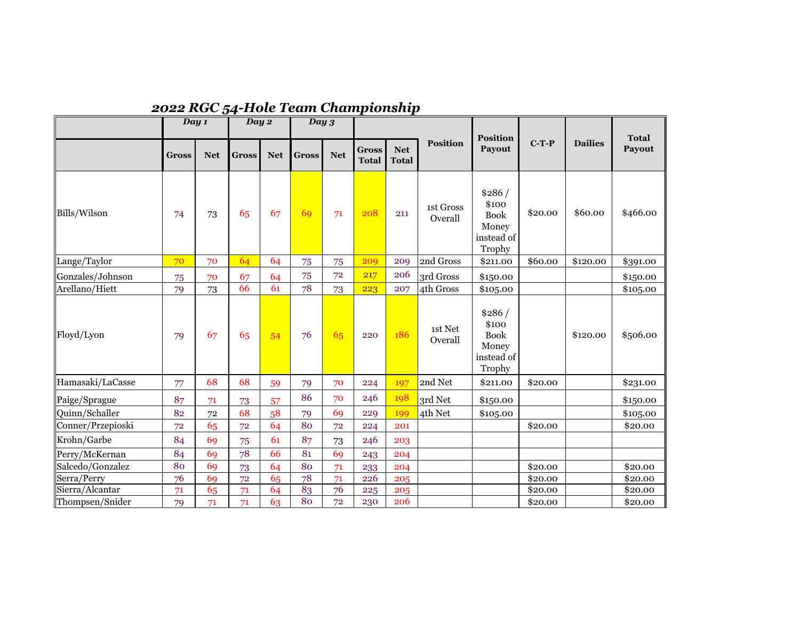|                   | Day 1        |            | Day 2        |            | Day 3        |            |                              |                            |                      |                                                                 |         |                |                        |
|-------------------|--------------|------------|--------------|------------|--------------|------------|------------------------------|----------------------------|----------------------|-----------------------------------------------------------------|---------|----------------|------------------------|
|                   | <b>Gross</b> | <b>Net</b> | <b>Gross</b> | <b>Net</b> | <b>Gross</b> | <b>Net</b> | <b>Gross</b><br><b>Total</b> | <b>Net</b><br><b>Total</b> | <b>Position</b>      | <b>Position</b><br><b>Payout</b>                                | $C-T-P$ | <b>Dailies</b> | <b>Total</b><br>Payout |
| Bills/Wilson      | 74           | 73         | 65           | 67         | 69           | 71         | 208                          | 211                        | 1st Gross<br>Overall | \$286/<br>\$100<br><b>Book</b><br>Money<br>instead of<br>Trophy | \$20.00 | \$60.00        | \$466.00               |
| Lange/Taylor      | 70           | 70         | 64           | 64         | 75           | 75         | 209                          | 209                        | 2nd Gross            | \$211.00                                                        | \$60.00 | \$120.00       | \$391.00               |
| Gonzales/Johnson  | 75           | 70         | 67           | 64         | 75           | 72         | 217                          | 206                        | 3rd Gross            | \$150.00                                                        |         |                | \$150.00               |
| Arellano/Hiett    | 79           | 73         | 66           | 61         | 78           | 73         | 223                          | 207                        | 4th Gross            | \$105.00                                                        |         |                | \$105.00               |
| Floyd/Lyon        | 79           | 67         | 65           | 54         | 76           | 65         | 220                          | 186                        | 1st Net<br>Overall   | \$286/<br>\$100<br><b>Book</b><br>Money<br>instead of<br>Trophy |         | \$120.00       | \$506.00               |
| Hamasaki/LaCasse  | 77           | 68         | 68           | 59         | 79           | 70         | 224                          | 197                        | 2nd Net              | \$211.00                                                        | \$20.00 |                | \$231.00               |
| Paige/Sprague     | 87           | 71         | 73           | 57         | 86           | 70         | 246                          | 198                        | 3rd Net              | \$150.00                                                        |         |                | \$150.00               |
| Quinn/Schaller    | 82           | 72         | 68           | 58         | 79           | 69         | 229                          | 199                        | 4th Net              | \$105.00                                                        |         |                | \$105.00               |
| Conner/Przepioski | 72           | 65         | 72           | 64         | 80           | 72         | 224                          | 201                        |                      |                                                                 | \$20.00 |                | \$20.00                |
| Krohn/Garbe       | 84           | 69         | 75           | 61         | 87           | 73         | 246                          | 203                        |                      |                                                                 |         |                |                        |
| Perry/McKernan    | 84           | 69         | 78           | 66         | 81           | 69         | 243                          | 204                        |                      |                                                                 |         |                |                        |
| Salcedo/Gonzalez  | 80           | 69         | 73           | 64         | 80           | 71         | 233                          | 204                        |                      |                                                                 | \$20.00 |                | \$20.00                |
| Serra/Perry       | 76           | 69         | 72           | 65         | 78           | 71         | 226                          | 205                        |                      |                                                                 | \$20.00 |                | \$20.00                |
| Sierra/Alcantar   | 71           | 65         | 71           | 64         | 83           | 76         | 225                          | 205                        |                      |                                                                 | \$20.00 |                | \$20.00                |
| Thompsen/Snider   | 79           | 71         | 71           | 63         | 80           | 72         | 230                          | 206                        |                      |                                                                 | \$20.00 |                | \$20.00                |

## *2022 RGC 54-Hole Team Championship*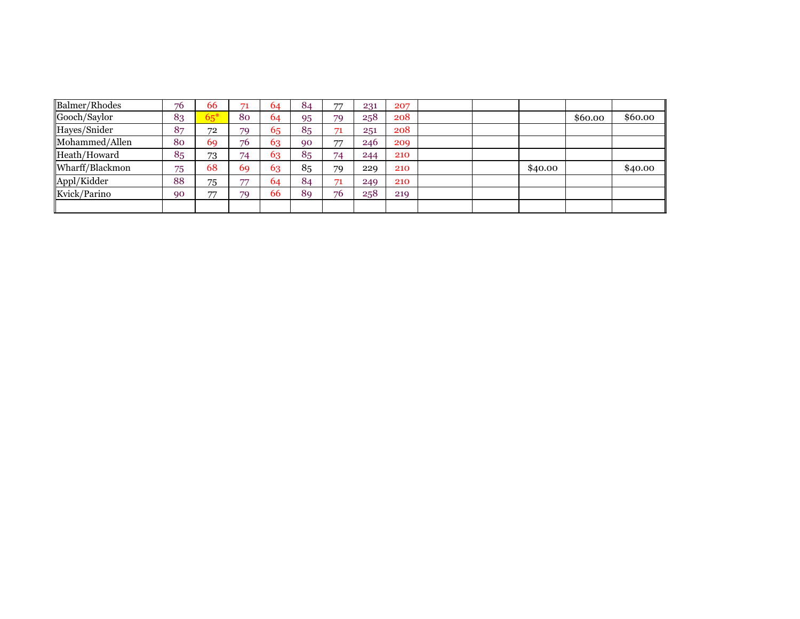| Balmer/Rhodes   | 76 | 66    |    | 64 | 84 | 77 | 231 | 207 |  |         |         |         |
|-----------------|----|-------|----|----|----|----|-----|-----|--|---------|---------|---------|
| Gooch/Saylor    | 83 | $65*$ | 80 | 64 | 95 | 79 | 258 | 208 |  |         | \$60.00 | \$60.00 |
| Hayes/Snider    | 87 | 72    | 79 | 65 | 85 | 71 | 251 | 208 |  |         |         |         |
| Mohammed/Allen  | 80 | 69    | 76 | 63 | 90 | 77 | 246 | 209 |  |         |         |         |
| Heath/Howard    | 85 | 73    | 74 | 63 | 85 | 74 | 244 | 210 |  |         |         |         |
| Wharff/Blackmon | 75 | 68    | 69 | 63 | 85 | 79 | 229 | 210 |  | \$40.00 |         | \$40.00 |
| Appl/Kidder     | 88 | 75    | —  | 64 | 84 | 71 | 249 | 210 |  |         |         |         |
| Kvick/Parino    | 90 | 77    | 79 | 66 | 89 | 76 | 258 | 219 |  |         |         |         |
|                 |    |       |    |    |    |    |     |     |  |         |         |         |